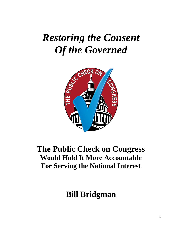# *Restoring the Consent Of the Governed*



### **The Public Check on Congress Would Hold It More Accountable For Serving the National Interest**

## **Bill Bridgman**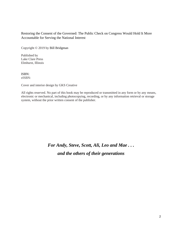#### Restoring the Consent of the Governed: The Public Check on Congress Would Hold It More Accountable for Serving the National Interest

Copyright © 2019 by Bill Bridgman

Published by Lake Clare Press Elmhurst, Illinois

ISBN: eISBN:

Cover and interior design by GKS Creative

All rights reserved. No part of this book may be reproduced or transmitted in any form or by any means, electronic or mechanical, including photocopying, recording, or by any information retrieval or storage system, without the prior written consent of the publisher.

### *For Andy, Steve, Scott, Ali, Leo and Mae . . . and the others of their generations*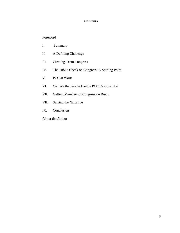#### **Contents**

#### Foreword

- I. Summary
- II. A Defining Challenge
- III. Creating Team Congress
- IV. The Public Check on Congress: A Starting Point
- V. PCC at Work
- VI. Can We the People Handle PCC Responsibly?
- VII. Getting Members of Congress on Board
- VIII. Seizing the Narrative
- IX. Conclusion
- About the Author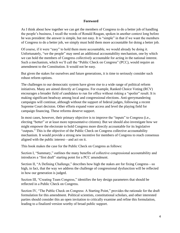#### **Foreword**

As I think about how together we can get the members of Congress to do a better job of handling the people's business, I recall the words of Ronald Reagan, spoken in another context long before he was president: the answer is simple, but not easy. It is "simple" in that if we want the members of Congress to do a better job, we simply must hold them more accountable for doing a better job.

Of course, if it were "easy" to hold them more accountable, we would already be doing it. Unfortunately, "we the people" may need an additional accountability mechanism, one by which we can hold the members of Congress *collectively* accountable for acting in the national interest. Such a mechanism, which we'll call the "Public Check on Congress" (PCC), would require an amendment to the Constitution. It would not be easy.

But given the stakes for ourselves and future generations, it is time to seriously consider such robust reform options.

The challenges to our democratic system have given rise to a wide range of political reform initiatives. Many are aimed directly at Congress. For example, Ranked Choice Voting (RCV) encourages a broader field of candidates to run for office without risking a "spoiler" result. It is making significant headway among local and congressional elections. Anti-gerrymandering campaigns will continue, although without the support of federal judges, following a recent Supreme Court decision. Other efforts expand voter access and level the playing field for campaign financing. These reforms deserve support.

In most cases, however, their primary objective is to improve the "inputs" to Congress (i.e., electing "better" or at least more representative citizens). But we should also investigate how we might empower the electorate to hold Congress more directly accountable for its legislative "outputs." This is the objective of the Public Check on Congress collective accountability mechanism. It would provide a strong new incentive for members of Congress to reach consensus aligned with the public interest—and act on it.

This book makes the case for the Public Check on Congress as follows:

Section I, "Summary," outlines the many benefits of collective congressional accountability and introduces a "first draft" starting point for a PCC amendment.

Section II, "A Defining Challenge," describes how high the stakes are for fixing Congress—so high, in fact, that the way we address the challenge of congressional dysfunction will be reflected in how our generation is judged.

Section III, "Creating Team Congress," identifies the key design parameters that should be reflected in a Public Check on Congress.

Section IV, "The Public Check on Congress: A Starting Point," provides the rationale for the draft formulation for this amendment. Political scientists, constitutional scholars, and other interested parties should consider this an open invitation to critically examine and refine this formulation, leading to a finalized version worthy of broad public support.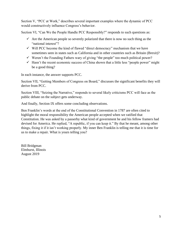Section V, "PCC at Work," describes several important examples where the dynamic of PCC would constructively influence Congress's behavior.

Section VI, "Can We the People Handle PCC Responsibly?" responds to such questions as:

- $\checkmark$  Are the American people so severely polarized that there is now no such thing as the "national interest"?
- $\checkmark$  Will PCC become the kind of flawed "direct democracy" mechanism that we have sometimes seen in states such as California and in other countries such as Britain (Brexit)?
- $\checkmark$  Weren't the Founding Fathers wary of giving "the people" too much political power?
- $\checkmark$  Hasn't the recent economic success of China shown that a little less "people power" might be a good thing?

In each instance, the answer supports PCC.

Section VII, "Getting Members of Congress on Board," discusses the significant benefits they will derive from PCC.

Section VIII, "Seizing the Narrative," responds to several likely criticisms PCC will face as the public debate on the subject gets underway.

And finally, Section IX offers some concluding observations.

Ben Franklin's words at the end of the Constitutional Convention in 1787 are often cited to highlight the moral responsibility the American people accepted when we ratified that Constitution. He was asked by a passerby what kind of government he and his fellow framers had devised for America. He replied, "A republic, if you can keep it." By that he meant, among other things, fixing it if it isn't working properly. My inner Ben Franklin is telling me that it is time for us to make a repair. What is yours telling you?

Bill Bridgman Elmhurst, Illinois August 2019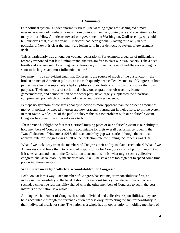#### **I. Summary**

Our political system is under enormous stress. The warning signs are flashing red almost everywhere we look. Perhaps none is more ominous than the growing sense of alienation felt by many of our fellow Americans toward our government in Washington. Until recently, we could tell ourselves that, over the years, Americans had been gradually losing faith only in our politicians. Now it is clear that many are losing faith in our democratic system of government itself.

This is particularly true among our younger generations. For example, a quarter of millennials recently responded that it is "unimportant" that we are free to elect our own leaders. Take a deep breath and ask yourself: How long can a democracy survive that level of indifference among its soon-to-be largest and most influential cohort?

For many, it's a self-evident truth that Congress is the source of much of the dysfunction—the broken branch of American politics, as it has frequently been called. Members of Congress of both parties have become supremely adept amplifiers and exploiters of this dysfunction for their own purposes. Their routine use of such tribal behaviors as gratuitous obstruction, blamegamesmanship, and demonization of the other party have largely supplanted the bipartisan compromise upon which our system of checks and balances depends.

Perhaps no symptom of congressional dysfunction is more apparent than the obscene amount of money in politics. Moneyed interests are now brazenly transparent in their efforts to tilt the system in their favor. While 90% of the public believes this is a top problem with our political system, Congress has done little in recent years to fix it.

These trends highlight the fact that a critical missing piece of our political system is our ability to hold members of Congress adequately accountable for their overall performance. Even in the "wave" election of November 2018, this accountability gap was stark: although the national approval rate for Congress was at 20%, the reelection rate for running incumbents was 90%.

What if we took away from the members of Congress their ability to blame each other? What if we Americans could force them to take joint responsibility for Congress's overall performance? And if it takes an amendment to the Constitution to accomplish this, what might such a collective congressional accountability mechanism look like? The stakes are too high not to spend some time pondering these questions.

#### **What do we mean by "collective accountability" for Congress?**

Let's look at it this way. Each member of Congress has two major responsibilities: first, an individual responsibility to the local district or state constituency that elected him or her; and second, a collective responsibility shared with the other members of Congress to act in the best interests of the nation as a whole.

Although each member of Congress has both individual and collective responsibilities, they are held accountable through the current election process only for meeting the first responsibility to their individual district or state. The nation as a whole has no opportunity for holding members of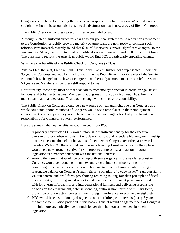Congress accountable for meeting their collective responsibility to the nation. We can draw a short straight line from this accountability gap to the dysfunction that is now a way of life in Congress.

The Public Check on Congress would fill that accountability gap.

Although such a significant structural change to our political system would require an amendment to the Constitution, a rapidly growing majority of Americans are now ready to consider such reforms. Pew Research recently found that 61% of Americans support "significant changes" to the fundamental "design and structure" of our political system to make it work better in current times. There are many reasons the American public would find PCC a particularly appealing change.

#### **What are the benefits of the Public Check on Congress (PCC)?**

"When I feel the heat, I see the light." Thus spoke Everett Dirksen, who represented Illinois for 35 years in Congress and was for much of that time the Republican minority leader of the Senate. Not much has changed in the laws of congressional thermodynamics since Dirksen left the Senate 50 years ago. Members of Congress still respond to heat.

Unfortunately, these days most of that heat comes from moneyed special interests, fringe "base" factions, and tribal party leaders. Members of Congress simply don't feel much heat from the mainstream national electorate. That would change with collective accountability.

The Public Check on Congress would be a new source of heat and light, one that Congress as a whole could not ignore. Members of Congress would see a new clause in their employment contract: to keep their jobs, they would have to accept a much higher level of joint, bipartisan responsibility for Congress's overall performance.

Here are some of the key benefits we could expect from PCC:

- $\checkmark$  A properly constructed PCC would establish a significant penalty for the excessive partisan gridlock, obstructionism, toxic demonization, and relentless blame-gamesmanship that have become the default behaviors of members of Congress over the past several decades. With PCC, these would become self-defeating lose-lose tactics. In their place would be a new strong incentive for Congress to compromise and act on important legislation in a manner consistent with the national interest.
- $\checkmark$  Among the issues that would be taken up with some urgency by the newly responsive Congress would be: reducing the money and special interest influence in politics; combining effective border security with humane treatment of immigrants; striking a reasonable balance on Congress's many favorite polarizing "wedge issues" (e.g., gun rights vs. gun control and pro-life vs. pro-choice); returning to long-forsaken principles of fiscal responsibility; reforming social security and healthcare entitlement programs consistent with long-term affordability and intergenerational fairness; and delivering responsible policies on the environment, defense spending, authorization for use of military force, protection of our election processes from foreign interference, executive oversight, etc.
- $\checkmark$  PCC would be constitutionally designed to occur at infrequent intervals (every 8 years in the sample formulation provided in this book). Thus, it would oblige members of Congress to think more strategically over a much longer time horizon as they develop their legislation.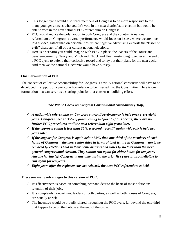- $\checkmark$  This longer cycle would also force members of Congress to be more responsive to the many younger citizens who couldn't vote in the next district/state election but would be able to vote in the next national PCC referendum on Congress.
- $\checkmark$  PCC would reduce the polarization in both Congress and the country. A national referendum on Congress's overall performance would focus on issues, where we are much less divided, rather than on personalities, where negative advertising exploits the "lesser of evils" character of all of our current national elections.
- $\checkmark$  Here is a scenario you could imagine with PCC in place: the leaders of the House and Senate—currently Nancy and Mitch and Chuck and Kevin—standing together at the end of a PCC cycle to defend their collective record and to lay out their plans for the next cycle. And then we the national electorate would have our say.

#### **One Formulation of PCC**

The concept of collective accountability for Congress is new. A national consensus will have to be developed in support of a particular formulation to be inserted into the Constitution. Here is one formulation that can serve as a starting point for that consensus-building effort.

#### *The Public Check on Congress Constitutional Amendment (Draft)*

- ✓ *A nationwide referendum on Congress's overall performance is held once every eight years. Congress needs a 35% approval rating to "pass." If this occurs, there are no further PCC procedures until the next referendum eight years later.*
- ✓ *If the approval rating is less than 35%, a second, "recall" nationwide vote is held two years later.*
- ✓ *If the support for Congress is again below 35%, then one-third of the members of each house of Congress—the most senior third in terms of total tenure in Congress—are to be replaced by elections held in their home districts and states by no later than the next general congressional election. They cannot run again for either house for ten years. Anyone having left Congress at any time during the prior five years is also ineligible to run again for ten years.*
- ✓ *Eight years after the replacements are selected, the next PCC referendum is held.*

#### **There are many advantages to this version of PCC:**

- $\checkmark$  Its effectiveness is based on something near and dear to the heart of most politicians: retention of their jobs.
- $\checkmark$  It is completely nonpartisan: leaders of both parties, as well as both houses of Congress, are equally at risk.
- $\checkmark$  The incentive would be broadly shared throughout the PCC cycle, far beyond the one-third that happen to be on the bubble at the end of the cycle.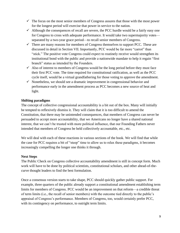- $\checkmark$  The focus on the most senior members of Congress assures that those with the most power for the longest period will exercise that power in service to the nation.
- $\checkmark$  Although the consequences of recall are severe, the PCC hurdle would be a fairly easy one for Congress to cross with adequate performance. It would take two supermajority votes separated by a two-year grace period—to recall senior members of Congress.
- $\checkmark$  There are many reasons for members of Congress themselves to support PCC. These are discussed in detail in Section VII. Importantly, PCC would be far more "carrot" than "stick." The positive vote Congress could expect to routinely receive would strengthen its institutional bond with the public and provide a nationwide mandate to help it regain "first branch" status as intended by the Founders.
- $\checkmark$  Also of interest to members of Congress would be the long period before they must face their first PCC vote. The time required for constitutional ratification, as well as the PCC cycle itself, would be a virtual grandfathering for those voting to approve the amendment.
- $\checkmark$  Nonetheless, we should see a dramatic improvement in congressional behavior and performance early in the amendment process as PCC becomes a new source of heat and light.

#### **Shifting paradigms**

The concept of collective congressional accountability is a bit out of the box. Many will initially be tempted to reflexively dismiss it. They will claim that it is too difficult to amend the Constitution, that there may be unintended consequences, that members of Congress can never be persuaded to accept more accountability, that we Americans no longer have a shared national interest, that we can't be trusted with more political influence, that our Founding Fathers never intended that members of Congress be held collectively accountable, etc., etc.

We will deal with each of these reactions in various sections of the book. We will find that while the case for PCC requires a bit of "steep" time to allow us to relax these paradigms, it becomes increasingly compelling the longer one thinks it through.

#### **Next Steps**

The Public Check on Congress collective accountability amendment is still in concept form. Much work will have to be done by political scientists, constitutional scholars, and other ahead-of-thecurve thought leaders to find the best formulation.

Once a consensus version starts to take shape, PCC should quickly gather public support. For example, three quarters of the public already support a constitutional amendment establishing term limits for members of Congress. PCC would be an improvement on that reform—a credible threat of term limits (i.e., the recall of senior members) with the outcome tied directly to the public's appraisal of Congress's performance. Members of Congress, too, would certainly prefer PCC, with its contingency on performance, to outright term limits.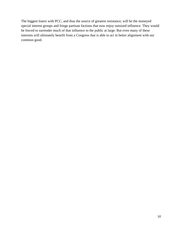The biggest losers with PCC, and thus the source of greatest resistance, will be the moneyed special interest groups and fringe partisan factions that now enjoy outsized influence. They would be forced to surrender much of that influence to the public at large. But even many of these interests will ultimately benefit from a Congress that is able to act in better alignment with our common good.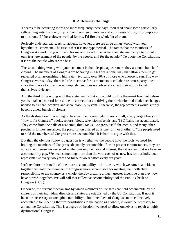#### **II. A Defining Challenge**

It seems to be occurring more and more frequently these days. You read about some particularly self-serving antic by one group of Congressmen or another and your sense of disgust prompts you to blurt out, "If these clowns worked for me, I'd fire the whole lot of them."

Perfectly understandable. As it happens, however, there are three things wrong with your hypothetical statement. The first is that it is not hypothetical. The fact is that the members of Congress *do* work for you . . . and for me and for all other American citizens. To quote Lincoln, ours is a "government of the people, by the people, and for the people." To quote the Constitution, it is we the people who are the boss.

The second thing wrong with your statement is that, despite appearances, they are not a bunch of clowns. The members of Congress are behaving in a highly rational way that allows them to get reelected at an astonishingly high rate—typically over 90% of those who choose to run. The way Congress works today, there is little incentive for its members to collaborate across party lines since their lack of collective accomplishment does not adversely affect their ability to get themselves reelected.

And the third thing wrong with that statement is that you would not fire them—at least not before you had taken a careful look at the incentives that are driving their behavior and made the changes needed to fix that incentive and accountability system. Otherwise, the replacements would simply become a new bunch of clowns.

As the dysfunction in Washington has become increasingly obvious to all, a very large library of "how to fix Congress" books, reports, blogs, television specials, and TED Talks has accumulated. They come from the halls of academia, think tanks, Congress itself, the media, and many other precincts. In most instances, the prescription offered up is one form or another of "the people need to hold the members of Congress more accountable." It is hard to argue with that.

But then the obvious follow-up question is whether we the people have the tools we need for holding the members of Congress adequately accountable. If, as in present circumstances, they are able to get themselves reelected while ignoring the national interest, then it is clear that we have an accountability gap. We need something more than the vote each of us now has for our individual representative every two years and for our two senators every six years.

Let's explore the benefits of one more accountability tool—one by which we American citizens together can hold the members of Congress more accountable for meeting their collective responsibility to the country as a whole, thereby creating a much greater incentive than they now have to work together. We will call that collective accountability tool the Public Check on Congress (PCC).

Of course, the current mechanisms by which members of Congress are held accountable by the citizens of their individual districts and states are established by the US Constitution. If now it becomes necessary to strengthen our ability to hold members of Congress more collectively accountable for meeting their responsibilities to the nation as a whole, it would be necessary to amend the Constitution. This is a degree of freedom we need to allow ourselves to repair a highly dysfunctional Congress.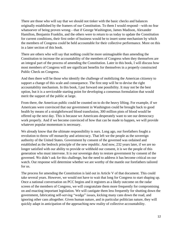There are those who will say that we should not tinker with the basic checks and balances originally established by the framers of our Constitution. To them I would respond—with no fear whatsoever of being proven wrong—that if George Washington, James Madison, Alexander Hamilton, Benjamin Franklin, and the others were to return to us today to update the Constitution for current conditions, their first order of business would be to insert some mechanism by which the members of Congress could be held accountable for their collective performance. More on this in a later section of this book.

There are others who will say that nothing could be more unimaginable than amending the Constitution to increase the accountability of the members of Congress when they themselves are an integral part of the process of amending the Constitution. Later in this book, I will discuss how most members of Congress will see significant benefits for themselves in a properly constructed Public Check on Congress.

And then there will be those who identify the challenge of mobilizing the American citizenry to support a change of this scale and consequence. The first step will be to devise the right accountability mechanism. In this book, I put forward one possibility. It may not be the best option, but it is a serviceable starting point for developing a consensus formulation that would merit the support of the public at large.

From there, the American public could be counted on to do the heavy lifting. For example, if we Americans were convinced that our government in Washington could be brought back to good health by means of a straightforward blood transfusion, 300 million pints of blood would be offered up the next day. This is because we Americans desperately want to see our democracy work properly. And if we become convinced of how that can be made to happen, we will provide whatever popular momentum is necessary.

We already know that the ultimate responsibility is ours. Long ago, our forefathers fought a revolution to throw off monarchy and aristocracy. That left we the people as the sovereign authority of the United States. Government by consent of the governed was ordained and established as the bedrock principle of the new republic. And now, 232 years later, if we are no longer satisfied with our ability to provide or withhold our consent, it is we the people of this generation who must intervene. It is our sovereign duty to restore government by consent of the governed. We didn't ask for this challenge, but the need to address it has become critical on our watch. Our response will determine whether we are worthy of the mantle our forefathers tailored for us.

The process for amending the Constitution is laid out in Article V of that document. This could take several years. However, we would not have to wait that long for Congress to start shaping up. Once a national conversation on PCC begins and it registers as a likely outcome on the radar screen of the members of Congress, we will congratulate them more frequently for compromising on and enacting important legislation. We will castigate them less frequently for shutting down the government, fabricating self-serving "wedge" issues, kicking many cans down the road, and ignoring other cans altogether. Given human nature, and in particular politician nature, they will quickly adapt in anticipation of the approaching new reality of collective accountability.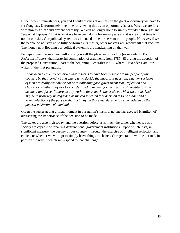Under other circumstances, you and I could discuss at our leisure the great opportunity we have to fix Congress. Unfortunately, the time for viewing this as an opportunity is past. What we are faced with now is a clear and present necessity. We can no longer hope to simply "muddle through" and "see what happens." That is what we have been doing for many years and it is clear that time is not on our side. Our political system was intended to be the servant of the people. However, if we the people do not step up to fully perform as its master, other masters will readily fill that vacuum. The money now flooding our political system is the handwriting on that wall.

Perhaps sometime soon you will allow yourself the pleasure of reading (or rereading) *The Federalist Papers*, that masterful compilation of arguments from 1787–88 urging the adoption of the proposed Constitution. Start at the beginning, Federalist No. 1, where Alexander Hamilton writes in the first paragraph:

*It has been frequently remarked that it seems to have been reserved to the people of this country, by their conduct and example, to decide the important question, whether societies of men are really capable or not of establishing good government from reflection and choice, or whether they are forever destined to depend for their political constitutions on accident and force. If there be any truth in the remark, the crisis at which we are arrived may with propriety be regarded as the era in which that decision is to be made; and a wrong election of the part we shall act may, in this view, deserve to be considered as the general misfortune of mankind.*

Given the stakes at that critical moment in our nation's history, no one has accused Hamilton of overstating the importance of the decision to be made.

The stakes are also high today, and the question before us is much the same: whether we as a society are capable of repairing dysfunctional government institutions—upon which rests, in significant measure, the destiny of our country—through the exercise of intelligent reflection and choice, or whether we will opt to simply leave things to chance. Our generation will be defined, in part, by the way in which we respond to that challenge.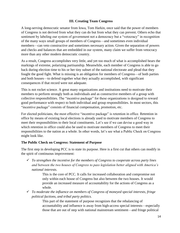#### **III. Creating Team Congress**

A long-serving democratic senator from Iowa, Tom Harkin, once said that the power of members of Congress is not derived from what they can do but from what they can prevent. Others echo that sentiment by labeling our system of government not a democracy but a "vetocracy" in recognition of the many ways small groups of members of Congress—and sometimes even individual members—can veto constructive and sometimes necessary action. Given the separation of powers and checks and balances that are embedded in our system, many claim we suffer from vetocracy more than any other modern democratic country.

As a result, Congress accomplishes very little, and yet too much of what is accomplished bears the markings of extreme, polarizing partisanship. Meanwhile, each member of Congress is able to go back during election time to his or her tiny subset of the national electorate and plead that they fought the good fight. What is missing is an obligation for members of Congress—of both parties and both houses—to defend together what they actually accomplished, with significant consequences if that record were not adequate.

This is not rocket science. A great many organizations and institutions need to motivate their members to perform strongly both as individuals and as constructive members of a group with collective responsibilities. The "incentive package" for these organizations is designed to reward good performance with respect to both individual and group responsibilities. In most sectors, this "incentive package" consists of financial compensation, promotion, etc.

For elected politicians, the most effective "incentive package" is retention in office. Retention in office by means of existing local elections is already used to motivate members of Congress to meet their responsibilities to their local constituents. Let's see if we can devise a good way in which retention in office could also be used to motivate members of Congress to meet their responsibilities to the nation as a whole. In other words, let's see what a Public Check on Congress might look like.

#### **The Public Check on Congress: Statement of Purpose**

The first step in developing PCC is to state its purpose. Here is a first cut that others can modify in the spirit of continuous improvement:

✓ *To strengthen the incentive for the members of Congress to cooperate across party lines and between the two houses of Congress to pass legislation better aligned with America's national interests.*

> This is the core of PCC. It calls for increased collaboration and compromise not only within each house of Congress but also between the two houses. It would provide an increased measure of accountability for the actions of Congress as a whole.

✓ *To moderate the influence on members of Congress of moneyed special interests, fringe political factions, and tribal party politics.* 

> This part of the statement of purpose recognizes that the rebalancing of accountability and influence is away from high-access special interests—especially those that are out of step with national mainstream sentiment—and fringe political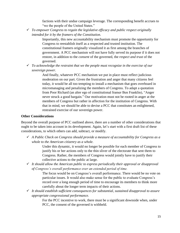factions with their undue campaign leverage. The corresponding benefit accrues to "we the people of the United States."

✓ *To empower Congress to regain the legislative efficacy and public respect originally intended for it by the framers of the Constitution.* 

> Importantly, this new accountability mechanism must promote the opportunity for Congress to reestablish itself as a respected and trusted institution. The constitutional framers originally visualized it as first among the branches of government. A PCC mechanism will not have fully served its purpose if it does not restore, in addition to the *consent* of the governed, the *respect and trust* of the governed.

✓ *To acknowledge the restraint that we the people must recognize in the exercise of our sovereign power.*

> And finally, whatever PCC mechanism we put in place must reflect judicious moderation on our part. Given the frustration and anger that many citizens feel today, it would be all too tempting to install a mechanism that goes overboard in micromanaging and penalizing the members of Congress. To adapt a quotation from Poor Richard (an alter ego of constitutional framer Ben Franklin), "Anger never struck a good bargain." Our motivation must not be rooted in anger at the members of Congress but rather in affection for the institution of Congress. With that in mind, we should be able to devise a PCC that constitutes an enlightened, restrained exercise of our sovereign power.

#### **Other Considerations**

Beyond the overall purpose of PCC outlined above, there are a number of other considerations that ought to be taken into account in its development. Again, let's start with a first draft list of these considerations, to which others can add, subtract, or modify.

✓ *A Public Check on Congress should provide a measure of accountability for Congress as a whole to the American citizenry as a whole.*

> Under this dynamic, it would no longer be possible for each member of Congress to justify his or her actions only to the thin sliver of the electorate that sent them to Congress. Rather, the members of Congress would jointly have to justify their collective actions to the public at large.

✓ *It should allow the American public to express periodically their approval or disapproval of Congress's overall performance over an extended period of time.* 

> The focus would be on Congress's overall performance. There would be no vote on particular issues. It would also make sense for the public to evaluate Congress's record over a long enough period of time to encourage its members to think more carefully about the longer term impacts of their actions.

✓ *It should establish sufficient consequences for substantial, sustained disapproval to assure appropriate congressional performance.*

> For the PCC incentive to work, there must be a significant downside when, under PCC, the consent of the governed is withheld.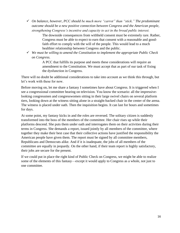✓ *On balance, however, PCC should be much more "carrot" than "stick." The predominant outcome should be a new positive connection between Congress and the American people, strengthening Congress's incentive and capacity to act in the broad public interest.* 

> The downside consequences from withheld consent must be extremely rare. Rather, Congress must be able to expect to earn that consent with a reasonable and goodfaith effort to comply with the will of the people. This would lead to a much healthier relationship between Congress and the public.

✓ *We must be willing to amend the Constitution to implement the appropriate Public Check on Congress.* 

> A PCC that fulfills its purpose and meets these considerations will require an amendment to the Constitution. We must accept that as part of our task of fixing the dysfunction in Congress.

There will no doubt be additional considerations to take into account as we think this through, but let's work with these for now.

Before moving on, let me share a fantasy I sometimes have about Congress. It is triggered when I see a congressional committee hearing on television. You know the scenario: all the impressivelooking congressmen and congresswomen sitting in their large swivel chairs on several platform tiers, looking down at the witness sitting alone in a straight-backed chair in the center of the arena. The witness is placed under oath. Then the inquisition begins. It can last for hours and sometimes for days.

At some point, my fantasy kicks in and the roles are reversed. The solitary citizen is suddenly transformed into the boss of the members of the committee. Her chair rises up while their platforms descend. She puts them under oath and interrogates them on their activities during their terms in Congress. She demands a report, issued jointly by all members of the committee, where together they make their best case that their collective actions have justified the responsibility the American people have given them. The report must be signed by all committee members, Republicans and Democrats alike. And if it is inadequate, the jobs of all members of the committee are equally in jeopardy. On the other hand, if their team report is highly satisfactory, their jobs are secure for the present.

If we could put in place the right kind of Public Check on Congress, we might be able to realize some of the elements of this fantasy—except it would apply to Congress as a whole, not just to one committee.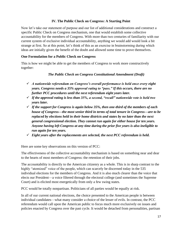#### **IV. The Public Check on Congress: A Starting Point**

Now let's take our statement of purpose and our list of additional considerations and construct a specific Public Check on Congress mechanism, one that would establish some collective accountability for the members of Congress. With more than two centuries of familiarity with our current system of exclusive individual accountability, anything we would add would look a bit strange at first. So at this point, let's think of this as an exercise in brainstorming during which ideas are initially given the benefit of the doubt and allowed some time to prove themselves.

#### **One Formulation for a Public Check on Congress**

This is how we might be able to get the members of Congress to work more constructively together:

#### *The Public Check on Congress Constitutional Amendment (Draft)*

- ✓ *A nationwide referendum on Congress's overall performance is held once every eight years. Congress needs a 35% approval rating to "pass." If this occurs, there are no further PCC procedures until the next referendum eight years later.*
- ✓ *If the approval rating is less than 35%, a second, "recall" nationwide vote is held two years later.*
- ✓ *If the support for Congress is again below 35%, then one-third of the members of each house of Congress—the most senior third in terms of total tenure in Congress—are to be replaced by elections held in their home districts and states by no later than the next general congressional election. They cannot run again for either house for ten years. Anyone having left Congress at any time during the prior five years is also ineligible to run again for ten years.*
- ✓ *Eight years after the replacements are selected, the next PCC referendum is held.*

Here are some key observations on this version of PCC:

The effectiveness of the collective accountability mechanism is based on something near and dear to the hearts of most members of Congress: the retention of their jobs.

The accountability is directly to the American citizenry as a whole. This is in sharp contrast to the highly "atomized" voice of the people, which can scarcely be discerned today in the 535 individual elections for the members of Congress. And it is also much clearer than the voice that elects our President—a voice filtered through the electoral college (and sometimes the Supreme Court) and is elicited most energetically from only a few swing states.

PCC would be totally nonpartisan. Politicians of all parties would be equally at risk.

In all of our current national elections, the choice presented to the American people is between individual candidates—what many consider a choice of the lesser of evils. In contrast, the PCC referendum would call upon the American public to focus much more exclusively on issues and policies enacted by Congress over the past cycle. It would be detached from personalities, partisan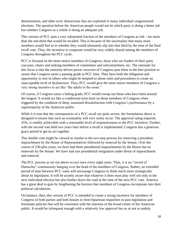demonization, and other toxic distractions that are exploited in many individual congressional elections. The question before the American people would not be which party is doing a better job but whether Congress as a whole is doing an adequate job.

This version of PCC puts a very substantial fraction of the members of Congress at risk—far more than the one-third that would be recalled. This is because of the uncertainty that many more members would feel as to whether they would ultimately slip into that third by the time of the final recall vote. Thus, the incentive to cooperate would be very widely shared among the members of Congress throughout the PCC cycle.

PCC is focused on the more senior members of Congress, those who are leaders of their party caucuses, chairs and ranking members of committees and subcommittees, etc. The rationale for this focus is that the seniority-driven power structure of Congress puts them in the best position to assure that Congress earns a passing grade at PCC time. They have both the obligation and opportunity to rein in others who might be tempted to abuse rules and procedures to create an unacceptable level of dysfunction. Thus, PCC would give the more senior members of Congress a very strong incentive to act like "the adults in the room."

Of course, if Congress earns a failing grade, PCC would sweep out those who have been around the longest. It would act like a conditional term limit on those members of Congress when triggered by the condition of deep, sustained dissatisfaction with Congress's performance by a supermajority of the American public.

While it is true that the consequences of a PCC recall are quite severe, the formulation above is designed to ensure that such an eventuality will very rarely occur. The approval rating required, 35%, is readily achievable with a reasonable level of responsiveness to the PCC incentive. Further, with the second vote held two years later before a recall is implemented, Congress has a generous grace period to get its act together.

This double vote might be viewed as similar to the two-step process for removing a president: impeachment by the House of Representatives followed by removal by the Senate. Over the course of 230-plus years, we have had three presidential impeachments by the House but no removals by the Senate. We have had one presidential resignation under threat of impeachment and removal.

The PCC process as set out above occurs once every eight years. Thus, it is no "sword of Damocles" continuously hanging over the head of the members of Congress. Rather, an extended period of time between PCC votes will encourage Congress to think much more strategically about its legislation. It will be acutely aware that whatever it does must play well not only in the next individual election but also further down the road at the time of the next PCC vote. America has a great deal to gain by lengthening the horizon that members of Congress incorporate into their political calculations.

On balance, then, this version of PCC is intended to create a strong incentive for members of Congress of both parties and both houses to form bipartisan majorities to pass legislation and formulate policies that will be consistent with the interests of the broad center of the American public. It would be infrequent enough with a relatively low approval bar so as not to unduly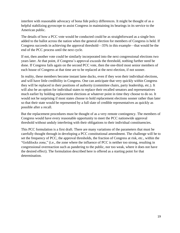interfere with reasonable advocacy of bona fide policy differences. It might be thought of as a helpful stabilizing gyroscope to assist Congress in maintaining its bearings in its service to the American public.

The details of how a PCC vote would be conducted could be as straightforward as a single box added to the ballot across the nation when the general election for members of Congress is held. If Congress succeeds in achieving the approval threshold—35% in this example—that would be the end of the PCC process until the next cycle.

If not, then another vote could be similarly incorporated into the next congressional elections two years later. At that point, if Congress's approval exceeds the threshold, nothing further need be done. If Congress fails again on the second PCC vote, then the one-third most senior members of each house of Congress at that time are to be replaced at the next election, if not sooner.

In reality, these members become instant lame ducks, even if they won their individual elections, and will have little credibility in Congress. One can anticipate that very quickly within Congress they will be replaced in their positions of authority (committee chairs, party leadership, etc.). It will also be an option for individual states to replace their recalled senators and representatives much earlier by holding replacement elections at whatever point in time they choose to do so. It would not be surprising if most states choose to hold replacement elections sooner rather than later so that their state would be represented by a full slate of credible representatives as quickly as possible after a recall.

But the replacement procedures must be thought of as a very remote contingency. The members of Congress would have every reasonable opportunity to meet the PCC nationwide approval threshold without unduly interfering with their obligations to their individual constituencies.

This PCC formulation is a first draft. There are many variations of the parameters that must be carefully thought through in developing a PCC constitutional amendment. The challenge will be to set the frequency of PCC, the approval thresholds, the fraction of Congress at risk, etc., within the "Goldilocks zone," (i.e., the zone where the influence of PCC is neither too strong, resulting in congressional overreaction such as pandering to the public, nor too weak, where it does not have the desired effect). The formulation described here is offered as a starting point for that determination.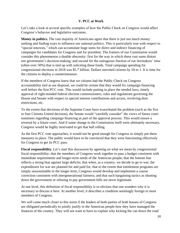#### **V. PCC at Work**

Let's take a look at several specific examples of how the Public Check on Congress would affect Congress's behavior and legislative outcomes.

**Money in politics.** The vast majority of Americans agree that there is just too much money seeking and finding ways to influence our national politics. This is particularly true with respect to "special interests," which can accumulate huge sums for direct and indirect financing of campaigns for candidates for Congress and for president. The framers of our Constitution would consider this phenomenon a double obscenity: first for the way in which these vast sums distort our government's decision-making; and second for the outrageous fraction of our lawmakers' time (often over 50%) that is tied up with soliciting these funds. Total campaign spending for congressional elections in 2018 was \$5.7 billion. Dollars outvoted citizens by 50 to 1. It is time for the citizens to deploy a countermeasure.

If the members of Congress knew that we citizens had the Public Check on Congress accountability tool at our disposal, we could be certain that they would fix campaign financing well before the first PCC vote. This would include putting in place the needed laws, timely approval of right-minded federal election commissioners, rules and regulations governing the House and Senate with respect to special interest contributions and access, revolving door restrictions, etc.

To the extent that decisions of the Supreme Court have exacerbated the problem (such as the five to four Citizens United decision), the Senate would "carefully consider" the views of future court nominees regarding campaign financing as part of the approval process. This would ensure a reversal by a future court. And if some change to the Constitution itself were ultimately necessary, Congress would be highly motivated to get that ball rolling.

As the first PCC vote approaches, it would not be good enough for Congress to simply put these measures in place. The public would have to be convinced that they were functioning effectively for Congress to get its PCC pass.

**Fiscal responsibility.** Let's start this discussion by agreeing on what we mean by congressional fiscal responsibility: that the members of Congress work together to pass a budget consistent with immediate requirements and longer-term needs of the American people; that the bottom line reflects a strong bias against large deficits; that when, as a country, we decide to go to war, the expenditures for war are planned for and paid for; that to the extent that entitlement programs are simply unsustainable in the longer term, Congress would develop and implement a course correction consistent with intergenerational fairness; and that such bargaining tactics as shutting down the government or refusing to pay government bills are never legitimate.

At one level, this definition of fiscal responsibility is so obvious that one wonders why it is necessary to discuss it here. At another level, it describes a condition seemingly foreign to most members of Congress.

We will come much closer to this norm if the leaders of both parties of both houses of Congress are obligated periodically to jointly justify to the American people how they have managed the finances of the country. They will not want to have to explain why kicking the can down the road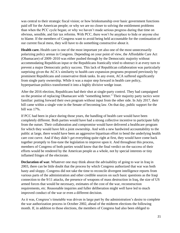was central to their strategic fiscal vision; or how brinksmanship over basic government functions paid off for the American people; or why we are no closer to solving the entitlement problems than when the PCC cycle began; or why we haven't made serious progress during that time on obvious, sensible, and fair tax reforms. With PCC, there won't be anyplace to hide or anyone else to blame. If the members of Congress want to avoid being held accountable for the continuation of our current fiscal mess, they will have to do something constructive about it.

**Health care.** Health care is one of the most important yet also one of the most unnecessarily polarizing policy arenas in Congress. Depending on your point of view, the Affordable Care Act (Obamacare) of 2009–2010 was either pushed through by the Democratic majority without accommodating Republican input or the Republicans frantically tried to obstruct it at every turn to prevent a major Democratic policy success. This lack of Republican collaboration was particularly surprising given the ACA's similarity to health care expansion programs proposed previously by prominent Republicans and conservative think tanks. In any event, ACA suffered significantly from single party ownership. While it was a major step forward in health care policy, hyperpartisan politics transformed it into a highly divisive wedge issue.

After the 2016 election, Republicans had their shot at single-party control. They had campaigned on the promise of replacing Obamacare with "something better." Their majority party tactics were familiar: putting forward their own program without input from the other side. In July 2017, their bill came within a single vote in the Senate of becoming law. On that day, public support for the bill was 17%.

If PCC had been in place during those years, the handling of health care would have been completely different. Both parties would have had a strong collective incentive to participate fully from the outset. Their collaboration and compromise would have delivered a healthcare program for which they would have felt a joint ownership. And with a new hardwired accountability to the public at large, there would have been an aggressive bipartisan effort to bend the underlying health care cost curve. And if they didn't get everything quite right at first, they would have come back together promptly to fine-tune the legislation to improve upon it. And throughout this process, members of Congress of both parties would know that the final verdict on the success of their efforts would be rendered by the American people as a whole, not by special interests or tiny inflamed fringes of the electorate.

**Declaration of war.** Whatever one may think about the advisability of going to war in Iraq in 2003, there can be little doubt that the process by which Congress authorized that war was both hasty and sloppy. Congress did not take the time to reconcile divergent intelligence reports from various parts of the administration and other credible sources on such basic questions as the Iraqi connection to the 9/11 attacks, the presence of weapons of mass destruction in Iraq, the size of US armed forces that would be necessary, estimates of the cost of the war, reconstruction requirements, etc. Reasonable inquiries and fuller deliberation might well have led to much improved conduct of the war or even a different decision.

As it was, Congress's timetable was driven in large part by the administration's desire to complete the war authorization process in October 2002, ahead of the midterm elections the following month. If, in addition to those elections, the members of Congress had also been obliged to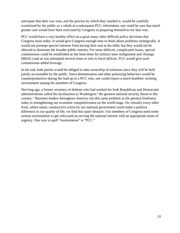anticipate that their war vote, and the process by which they reached it, would be carefully scrutinized by the public as a whole at a subsequent PCC referendum, one could be sure that much greater care would have been exercised by Congress in preparing themselves for that vote.

PCC would have a very healthy effect on a great many other difficult policy decisions that Congress must make. It would give Congress enough time to think about problems strategically. It would not preempt special interests from having their seat at the table, but they would not be allowed to dominate the broader public interest. For some difficult, complicated issues, special commissions could be established as has been done for military base realignment and closings (BRAC) and as was attempted several times to rein in fiscal deficits. PCC would give such commissions added leverage.

In the end, both parties would be obliged to take ownership of solutions since they will be held jointly accountable by the public. Since demonization and other polarizing behaviors would be counterproductive during the lead up to a PCC vote, one could expect a much healthier working environment among the members of Congress.

Not long ago, a former secretary of defense who had worked for both Republican and Democratic administrations called the dysfunction in Washington "the greatest national security threat to this country." Business leaders throughout America cite this same problem as the greatest hindrance today to strengthening our economic competitiveness on the world stage. On virtually every other front, where smart, constructive action by our national government could make a positive difference in our quality of life, we find this same obstacle. Our members of Congress need some serious reorientation to get refocused on serving the national interest with an appropriate sense of urgency. One way to spell "reorientation" is "PCC."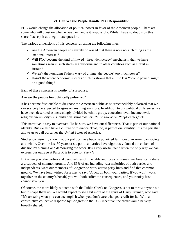#### **VI. Can We the People Handle PCC Responsibly?**

PCC would change the allocation of political power in favor of the American people. There are some who will question whether we can handle it responsibly. While I have no doubts on this score, I accept it as a legitimate question.

The various dimensions of this concern run along the following lines:

- $\checkmark$  Are the American people so severely polarized that there is now no such thing as the "national interest"?
- $\checkmark$  Will PCC become the kind of flawed "direct democracy" mechanism that we have sometimes seen in such states as California and in other countries such as Brexit in Britain?
- $\checkmark$  Weren't the Founding Fathers wary of giving "the people" too much power?
- $\checkmark$  Hasn't the recent economic success of China shown that a little less "people power" might be a good thing?

Each of these concerns is worthy of a response.

#### **Are we the people too politically polarized?**

It has become fashionable to diagnose the American public as so irreconcilably polarized that we can scarcely be expected to agree on anything anymore. In addition to our political differences, we have been described as increasingly divided by ethnic group, education level, income level, religious views, city vs. suburban vs. rural dwellers, "elite snobs" vs. "deplorables," etc.

This narrative is easy to overstate. To be sure, we have our differences. That is part of our national identity. But we also have a culture of tolerance. That, too, is part of our identity. It is the part that allows us to call ourselves the *United* States of America.

Studies consistently show that our politics have become polarized far more than American society as a whole. Over the last 30 years or so, political parties have vigorously fanned the embers of division by blaming and demonizing the other. It's a very useful tactic when the only way we can express our outrage at Party X is to vote for Party Y.

But when you take parties and personalities off the table and focus on issues, we Americans share a great deal of common ground. And 85% of us, including vast majorities of both parties and independents, want our members of Congress to work across party lines and find that common ground. We have long wished for a way to say, "A pox on both your parties. If you won't work together on the country's behalf, you will both suffer the consequences, and your noisy base cannot save you."

Of course, the more likely outcome with the Public Check on Congress is not to throw anyone out but to shape them up. We would expect to see a bit more of the spirit of Harry Truman, who said, "It's amazing what you can accomplish when you don't care who gets credit for it." With a constructive collective response by Congress to the PCC incentive, the credit would be very broadly shared.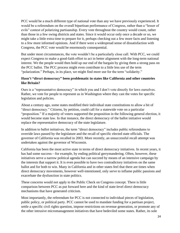PCC would be a much different type of national vote than any we have previously experienced. It would be a referendum on the overall bipartisan performance of Congress, rather than a "lesser of evils" contest of polarizing partisanship. Every vote throughout the country would count, rather than those in a few swing districts and states. Since it would occur only once a decade or so, we might take a little extra time to prepare for it, perhaps checking out a few more facts and listening to a few more informed opinions. And if there were a widespread sense of dissatisfaction with Congress, the PCC vote would be enormously consequential.

But under most circumstances, the vote wouldn't be a particularly close call. With PCC, we could expect Congress to make a good-faith effort to act in better alignment with the long-term national interest. We the people would then hold up our end of the bargain by giving them a strong pass on the PCC ballot. The PCC process might even contribute to a little less use of the term "polarization." Perhaps, in its place, we might find more use for the term "solidarity."

#### **Hasn't "direct democracy" been problematic in states like California and other countries like Britain?**

Ours is a "representative democracy" in which you and I don't vote directly for laws ourselves. Rather, we vote for people to represent us in Washington where they cast the votes for specific legislation and policies.

About a century ago, some states modified their individual state constitutions to allow a bit of "direct democracy." Citizens, by petition, could call for a statewide vote on a particular "proposition." If a majority of voters supported the proposition in the following general election, it would become state law. In that instance, the direct democracy of the ballot initiative would replace the representative democracy of the state legislature.

In addition to ballot initiatives, the term "direct democracy" includes public referendums to override laws passed by the legislature and the recall of specific elected state officials. The governor of California was recalled in 2003. More recently, an unsuccessful recall attempt was undertaken against the governor of Wisconsin.

California has been the most active state in terms of direct democracy initiatives. In recent years, it has had some success—for example, by ending political gerrymandering. Often, however, these initiatives serve a narrow political agenda but can succeed by means of an intensive campaign by the interests that support it. It is even possible to have two contradictory initiatives on the same ballot and for both to win. Many in California and in other states feel that there are times when direct democracy movements, however well-intentioned, only serve to inflame public passions and exacerbate the dysfunction in state politics.

These concerns would not apply to the Public Check on Congress concept. There is little comparison between PCC as put forward here and the kind of state-level direct democracy mechanisms that have generated criticism.

Most importantly, the referendum for PCC is not connected to individual pieces of legislation, public policy, or political party. PCC cannot be used to mandate funding for a partisan project, settle a specific civil rights question, impose restrictions on revenue generation, or promote any of the other intrusive micromanagement initiatives that have bedeviled some states. Rather, its sole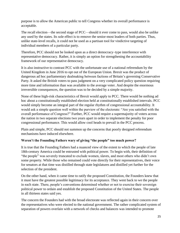purpose is to allow the American public to tell Congress whether its overall performance is acceptable.

The recall election—the second stage of PCC—should it ever come to pass, would also be unlike any used by the states. Its sole effect is to remove the senior-most leaders of both parties. Thus, unlike state-level recalls, it could not be used as a partisan tool for vindictive targeting of individual members of a particular party.

Therefore, PCC should not be looked upon as a direct democracy–type interference with representative democracy. Rather, it is simply an option for strengthening the accountability framework of our representative democracy.

It is also instructive to contrast PCC with the unfortunate use of a national referendum by the United Kingdom in June 2016 to opt out of the European Union. Brexit was the product of dangerous ad hoc parliamentary dealmaking between factions of Britain's governing Conservative Party. It asked the British voters to pass judgment on a very complicated policy question requiring more time and information than was available to the average voter. And despite the enormous irreversible consequences, the question was to be decided by a simple majority.

None of these high-risk characteristics of Brexit would apply to PCC. There would be nothing ad hoc about a constitutionally established election held at constitutionally established intervals. PCC would simply become an integral part of the regular rhythm of congressional accountability. It would ask a simple question well within the purview of the electorate: "Are you satisfied with the overall performance of Congress?" Further, PCC would require a supermajority of voters across the nation in two separate elections two years apart in order to implement the penalty for poor congressional performance. This would allow cool heads to prevail in the PCC process.

Plain and simple, PCC should not summon up the concerns that poorly designed referendum mechanisms have induced elsewhere.

#### **Weren't the Founding Fathers wary of giving "the people" too much power?**

It is true that the Founding Fathers had a nuanced view of the extent to which the people of late 18th-century America could be entrusted with political power. To begin with, their definition of "the people" was severely truncated to exclude women, slaves, and most others who didn't own some property. While those who remained could vote directly for their representatives, their voice for senators at that time was distilled through state legislatures and distilled yet further for the selection of the president.

On the other hand, when it came time to ratify the proposed Constitution, the Founders knew that it must have the greatest possible legitimacy for its acceptance. They went back to we the people in each state. There, people's conventions determined whether or not to exercise their sovereign political power to ordain and establish the proposed Constitution of the United States. The people in all thirteen states said yes.

The concern the Founders had with the broad electorate was reflected again in their concern over the representatives who were elected to the national government. The rather complicated system of separation of powers overlain with a network of checks and balances was intended to promote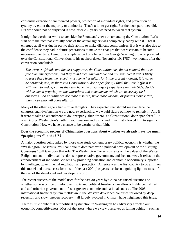consensus exercise of enumerated powers, protection of individual rights, and prevention of tyranny by either the majority or a minority. That's a lot to get right. For the most part, they did. But we should not be surprised if now, after 232 years, we need to tweak that system.

It might be worth our while to consider the Founders' views on amending the Constitution. Let's start with the fact that virtually none of the actual signers was completely happy with it. That it emerged at all was due in part to their ability to make difficult compromises. But it was also due to the confidence they had in future generations to make the changes that were certain to become necessary over time. Here, for example, is part of a letter from George Washington, who presided over the Constitutional Convention, to his nephew dated November 10, 1787, two months after the convention concluded:

*The warmest friends and the best supporters the Constitution has, do not contend that it is free from imperfections; but they found them unavoidable and are sensible; if evil is likely to arise there from, the remedy must come hereafter; for in the present moment, it is not to be obtained; and, as there is a Constitutional door open for it, I think the People (for it is with them to Judge) can as they will have the advantage of experience on their Side, decide with as much propriety on the alterations and amendments which are necessary [as] ourselves. I do not think we are more inspired, have more wisdom, or possess more virtue, than those who will come after us.*

Many of the other signers had similar thoughts. They expected that should we ever face the congressional dysfunction we are now experiencing, we would figure out how to remedy it. And if it were to take an amendment to do it properly, then "there is a Constitutional door open for it." It was George Washington's faith in your wisdom and virtue and mine that allowed him to sign the Constitution. Now we have a chance to be worthy of that faith.

#### **Does the economic success of China raise questions about whether we already have too much "people power" in the US?**

A major question being asked by those who study contemporary political economy is whether the "Washington Consensus" will continue to dominate world political development or the "Beijing Consensus" will take over that role. The Washington Consensus rests on the values of the Western Enlightenment—individual freedoms, representative government, and free markets. It relies on the empowerment of individual citizens by providing education and economic opportunity supported by intelligent governmental regulation and protection. America was the first country to go all in on this model and our success for most of the past 200-plus years has been a guiding light to most of the rest of the developed and developing world.

The recent success of the model used for the past 30 years by China has raised questions on whether some sacrifice of individual rights and political freedoms can allow a highly centralized and authoritarian government to foster greater economic and national success. The 2008 international financial system meltdown in the Western developed countries followed by deep recession and slow, uneven recovery—all largely avoided in China—have heightened this issue.

There is little doubt that our political dysfunction in Washington has adversely affected our economic competitiveness. Most of the areas where we view ourselves as falling behind—such as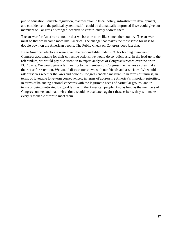public education, sensible regulation, macroeconomic fiscal policy, infrastructure development, and confidence in the political system itself—could be dramatically improved if we could give our members of Congress a stronger incentive to constructively address them.

The answer for America cannot be that we become more like some other country. The answer must be that we become more like America. The change that makes the most sense for us is to double down on the American people. The Public Check on Congress does just that.

If the American electorate were given the responsibility under PCC for holding members of Congress accountable for their collective actions, we would do so judiciously. In the lead-up to the referendum, we would pay due attention to expert analyses of Congress's record over the prior PCC cycle. We would give a fair hearing to the members of Congress themselves as they make their case for retention. We would discuss our views with our friends and associates. We would ask ourselves whether the laws and policies Congress enacted measure up in terms of fairness; in terms of favorable long-term consequences; in terms of addressing America's important priorities; in terms of balancing national concerns with the legitimate needs of particular groups; and in terms of being motivated by good faith with the American people. And as long as the members of Congress understand that their actions would be evaluated against these criteria, they will make every reasonable effort to meet them.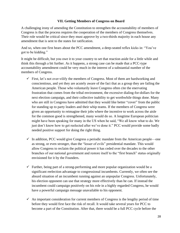#### **VII. Getting Members of Congress on Board**

A challenging irony of amending the Constitution to strengthen the accountability of members of Congress is that the process requires the cooperation of the members of Congress themselves. Their role would be critical since they must approve by a two-thirds majority in each house any amendment that is sent to the states for ratification.

And so, when one first hears about the PCC amendment, a deep-seated reflex kicks in: "You've got to be kidding."

It might be difficult, but you owe it to your country to set that reaction aside for a little while and think this through a bit further. As it happens, a strong case can be made that a PCC-type accountability amendment could be very much in the interest of a substantial number of the members of Congress.

- $\checkmark$  First, let's not over-vilify the members of Congress. Most of them are hardworking and conscientious, and yet they are acutely aware of the fact that as a group they are failing the American people. Those who voluntarily leave Congress often cite the enervating frustration that comes from the tribal environment, the excessive dialing-for-dollars for the next election campaign, and their collective inability to get worthwhile things done. Many who are still in Congress have admitted that they would like better "cover" from the public for standing up to party leaders and their whip teams. If the members of Congress were given an opportunity to reimagine their jobs where the incentive to work across the aisle for the common good is strengthened, many would do so. A longtime European politician might have been speaking for many in the US when he said, "We all know what to do. We just don't know how to get reelected after we've done it." PCC would provide some badly needed positive support for doing the right thing.
- $\checkmark$  In addition, PCC would give Congress a periodic mandate from the American people—one as strong, or even stronger, than the "lesser of evils" presidential mandate. This would allow Congress to reclaim the political power it has ceded over the decades to the other branches of our national government and restore itself to the "first branch" status originally envisioned for it by the Founders.
- $\checkmark$  Further, being part of a strong-performing and more popular organization would be a significant reelection advantage to congressional incumbents. Currently, we often see the absurd situation of an incumbent running against an unpopular Congress. Unfortunately, his election opponent can use that strategy more effectively than he can. If instead the incumbent could campaign positively on his role in a highly regarded Congress, he would have a powerful campaign message unavailable to his opponent.
- $\checkmark$  An important consideration for current members of Congress is the lengthy period of time before they would first face the risk of recall. It would take several years for PCC to become a part of the Constitution. After that, there would be a full PCC cycle before the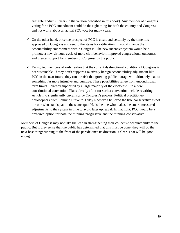first referendum (8 years in the version described in this book). Any member of Congress voting for a PCC amendment could do the right thing for both the country and Congress and not worry about an actual PCC vote for many years.

- $\checkmark$  On the other hand, once the prospect of PCC is clear, and certainly by the time it is approved by Congress and sent to the states for ratification, it would change the accountability environment within Congress. The new incentive system would help promote a new virtuous cycle of more civil behavior, improved congressional outcomes, and greater support for members of Congress by the public.
- $\checkmark$  Farsighted members already realize that the current dysfunctional condition of Congress is not sustainable. If they don't support a relatively benign accountability adjustment like PCC in the near future, they run the risk that growing public outrage will ultimately lead to something far more intrusive and punitive. These possibilities range from unconditional term limits—already supported by a large majority of the electorate—to a new constitutional convention. Plans already afoot for such a convention include rewriting Article I to significantly circumscribe Congress's powers. Political practitionerphilosophers from Edmund Burke to Teddy Roosevelt believed the true conservative is not the one who stands pat on the status quo. He is the one who makes the smart, measured adjustments to the system in time to avoid later upheaval. In that light, PCC would be a preferred option for both the thinking progressive and the thinking conservative.

Members of Congress may not take the lead in strengthening their collective accountability to the public. But if they sense that the public has determined that this must be done, they will do the next best thing: running to the front of the parade once its direction is clear. That will be good enough.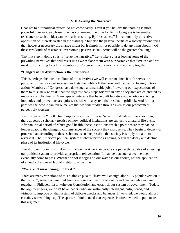#### **VIII. Seizing the Narrative**

Changes to our political system do not come easily. Even if you believe that nothing is more powerful than an idea whose time has come—and the time for fixing Congress is here—the resistance to such an idea can be nearly as strong. By "resistance," I mean not only the active opposition of interests vested in the status quo but also the passive inertia of a society rationalizing that, however necessary the change might be, it simply is not possible to do anything about it. Of these two kinds of resistance, overcoming passive social inertia will be the greater challenge.

The first step in doing so is to "seize the narrative." Let's take a closer look at some of the prevailing narratives that will resist us as we replace them with our narrative that "We can and we must do something to get the members of Congress to work more constructively together."

#### **"Congressional dysfunction is the new normal."**

This is perhaps the most insidious of the narratives we will confront since it both serves the purposes of many vested interests and lets the public off the hook with respect to having to take action. Members of Congress have done such a remarkable job of lowering our expectations of them to this "new normal" that the slightest baby steps forward in any policy area are celebrated as major accomplishments. Many special interests that have built lucrative applecarts on existing loopholes and protections are quite satisfied with a system that results in gridlock. And for our part, we the people can tell ourselves that we will muddle through even as our predicament perceptibly worsens.

There is growing "intellectual" support for some of these "new normal" ideas. Every so often, there appears a scholarly treatise on how political institutions are subject to a natural life cycle. After an initial period of robust good health, these institutions reach a point where they can no longer adapt to the changing circumstances of the society they must serve. They begin to decay—a process that, according to these scholars, is so irrepressible that society is simply not able to reverse it. The American political system is characterized as having begun the decay and decline phase of its institutional life cycle.

The shortcoming in this thinking is that we the American people are perfectly capable of adjusting our political system to provide appropriate rejuvenation. It may be that such a decline does eventually come to pass. Whether or not it begins on our watch is our choice, not the application of a newly discovered law of institutional decline.

#### **"We aren't smart enough to fix it."**

There are many variations of this plaintive plea to "leave well enough alone." A popular version is that in 1787, America benefited from a unique conjunction of events and leaders who gathered together in Philadelphia to write our Constitution and establish our system of government. Today, the argument goes, we don't have leaders who are sufficiently intelligent, enlightened, and virtuous to improve on that system of delicate checks and balances. If we tried, we would almost certainly screw things up. The specter of unintended consequences is often evoked to punctuate this argument.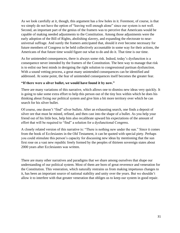As we look carefully at it, though, this argument has a few holes in it. Foremost, of course, is that we simply do not have the option of "leaving well enough alone" since our system is not well. Second, an important part of the genius of the framers was to perceive that Americans would be capable of making needed adjustments to the Constitution. Among those adjustments were the early adoption of the Bill of Rights, abolishing slavery, and expanding the electorate to nearuniversal suffrage. And surely the framers anticipated that, should it ever become necessary for future members of Congress to be held collectively accountable in some way for their actions, the Americans of that future time would figure out what to do and do it. That time is our time.

As for unintended consequences, there is always some risk. Indeed, today's dysfunction is a consequence never intended by the framers of the Constitution. The best way to manage that risk is to enlist our best minds in designing the right solution to congressional partisan dysfunction. With a sound vetting process, a great many unintended consequences can be identified and addressed. At some point, the fear of unintended consequences itself becomes the greater fear.

#### **"If there were a silver bullet, we would have found it by now."**

There are many variations of this narrative, which allows one to dismiss new ideas very quickly. It is going to take some extra effort to help this person out of the tiny box within which he does his thinking about fixing our political system and give him a bit more territory over which he can search for his silver bullet.

Of course, one doesn't "find" silver bullets. After an exhausting search, one finds a deposit of silver ore that must be mined, refined, and then cast into the shape of a bullet. As you help your friend out of his little box, help him also recalibrate upward his expectations of the amount of effort that will be required to "find" a solution for a dysfunctional Congress.

A closely related version of this narrative is: "There is nothing new under the sun." Since it comes from the book of Ecclesiastes in the Old Testament, it can be quoted with special piety. Perhaps you could stimulate this person's capacity for discussing new ideas by mentioning that the sun first rose on a vast new republic freely formed by the peoples of thirteen sovereign states about 2000 years after Ecclesiastes was written.

There are many other narratives and paradigms that we share among ourselves that shape our understanding of our political system. Most of them are born of great reverence and veneration for the Constitution. This veneration, which naturally restrains us from making impetuous changes to it, has been an important source of national stability and unity over the years. But we shouldn't allow it to interfere with that greater veneration that obliges us to keep our system in good repair.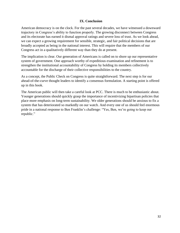#### **IX. Conclusion**

American democracy is on the clock. For the past several decades, we have witnessed a downward trajectory in Congress's ability to function properly. The growing disconnect between Congress and its electorate has earned it dismal approval ratings and severe loss of trust. As we look ahead, we can expect a growing requirement for sensible, strategic, and fair political decisions that are broadly accepted as being in the national interest. This will require that the members of our Congress act in a qualitatively different way than they do at present.

The implication is clear. Our generation of Americans is called on to shore up our representative system of government. One approach worthy of expeditious examination and refinement is to strengthen the institutional accountability of Congress by holding its members collectively accountable for the discharge of their collective responsibilities to the country.

As a concept, the Public Check on Congress is quite straightforward. The next step is for our ahead-of-the-curve thought leaders to identify a consensus formulation. A starting point is offered up in this book.

The American public will then take a careful look at PCC. There is much to be enthusiastic about. Younger generations should quickly grasp the importance of incentivizing bipartisan policies that place more emphasis on long-term sustainability. We older generations should be anxious to fix a system that has deteriorated so markedly on our watch. And every one of us should feel enormous pride in a national response to Ben Franklin's challenge: "Yes, Ben, we're going to keep our republic."